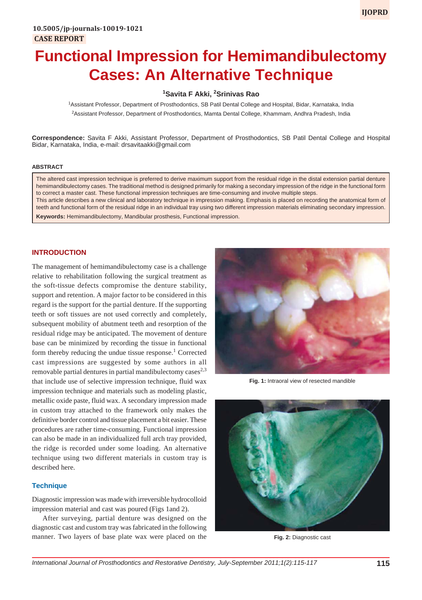# **Functional Impression for Hemimandibulectomy Cases: An Alternative Technique**

# **1 Savita F Akki, 2 Srinivas Rao**

1 Assistant Professor, Department of Prosthodontics, SB Patil Dental College and Hospital, Bidar, Karnataka, India 2 Assistant Professor, Department of Prosthodontics, Mamta Dental College, Khammam, Andhra Pradesh, India

**Correspondence:** Savita F Akki, Assistant Professor, Department of Prosthodontics, SB Patil Dental College and Hospital Bidar, Karnataka, India, e-mail: drsavitaakki@gmail.com

## **ABSTRACT**

The altered cast impression technique is preferred to derive maximum support from the residual ridge in the distal extension partial denture hemimandibulectomy cases. The traditional method is designed primarily for making a secondary impression of the ridge in the functional form to correct a master cast. These functional impression techniques are time-consuming and involve multiple steps. This article describes a new clinical and laboratory technique in impression making. Emphasis is placed on recording the anatomical form of teeth and functional form of the residual ridge in an individual tray using two different impression materials eliminating secondary impression.

**Keywords:** Hemimandibulectomy, Mandibular prosthesis, Functional impression.

## **INTRODUCTION**

The management of hemimandibulectomy case is a challenge relative to rehabilitation following the surgical treatment as the soft-tissue defects compromise the denture stability, support and retention. A major factor to be considered in this regard is the support for the partial denture. If the supporting teeth or soft tissues are not used correctly and completely, subsequent mobility of abutment teeth and resorption of the residual ridge may be anticipated. The movement of denture base can be minimized by recording the tissue in functional form thereby reducing the undue tissue response.<sup>1</sup> Corrected cast impressions are suggested by some authors in all removable partial dentures in partial mandibulectomy cases<sup>2,3</sup> that include use of selective impression technique, fluid wax impression technique and materials such as modeling plastic, metallic oxide paste, fluid wax. A secondary impression made in custom tray attached to the framework only makes the definitive border control and tissue placement a bit easier. These procedures are rather time-consuming. Functional impression can also be made in an individualized full arch tray provided, the ridge is recorded under some loading. An alternative technique using two different materials in custom tray is described here.

#### **Technique**

Diagnostic impression was made with irreversible hydrocolloid impression material and cast was poured (Figs 1and 2).

After surveying, partial denture was designed on the diagnostic cast and custom tray was fabricated in the following manner. Two layers of base plate wax were placed on the



**Fig. 1:** Intraoral view of resected mandible



**Fig. 2:** Diagnostic cast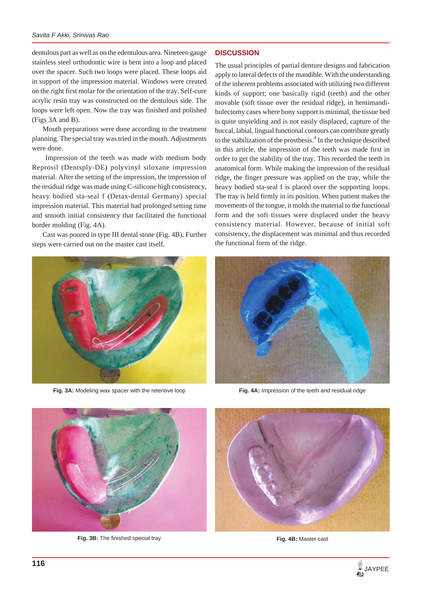#### *Savita F Akki, Srinivas Rao*

dentulous part as well as on the edentulous area. Nineteen gauge stainless steel orthodontic wire is bent into a loop and placed over the spacer. Such two loops were placed. These loops aid in support of the impression material. Windows were created on the right first molar for the orientation of the tray. Self-cure acrylic resin tray was constructed on the dentulous side. The loops were left open. Now the tray was finished and polished (Figs 3A and B).

Mouth preparations were done according to the treatment planning. The special tray was tried in the mouth. Adjustments were done.

 Impression of the teeth was made with medium body Reprosil (Dentsply-DE) polyvinyl siloxane impression material. After the setting of the impression, the impression of the residual ridge was made using C-silicone high consistency, heavy bodied sta-seal f (Detax-dental Germany) special impression material. This material had prolonged setting time and smooth initial consistency that facilitated the functional border molding (Fig. 4A).

Cast was poured in type III dental stone (Fig. 4B). Further steps were carried out on the master cast itself.



**Fig. 3A:** Modeling wax spacer with the retentive loop

### **DISCUSSION**

The usual principles of partial denture designs and fabrication apply to lateral defects of the mandible. With the understanding of the inherent problems associated with utilizing two different kinds of support; one basically rigid (teeth) and the other movable (soft tissue over the residual ridge), in hemimandibulectomy cases where bony support is minimal, the tissue bed is quite unyielding and is not easily displaced, capture of the buccal, labial, lingual functional contours can contribute greatly to the stabilization of the prosthesis.<sup>4</sup> In the technique described in this article, the impression of the teeth was made first in order to get the stability of the tray. This recorded the teeth in anatomical form. While making the impression of the residual ridge, the finger pressure was applied on the tray, while the heavy bodied sta-seal f is placed over the supporting loops. The tray is held firmly in its position. When patient makes the movements of the tongue, it molds the material to the functional form and the soft tissues were displaced under the heavy consistency material. However, because of initial soft consistency, the displacement was minimal and thus recorded the functional form of the ridge.



**Fig. 4A:** Impression of the teeth and residual ridge



Fig. 3B: The finished special tray



**Fig. 4B:** Master cast